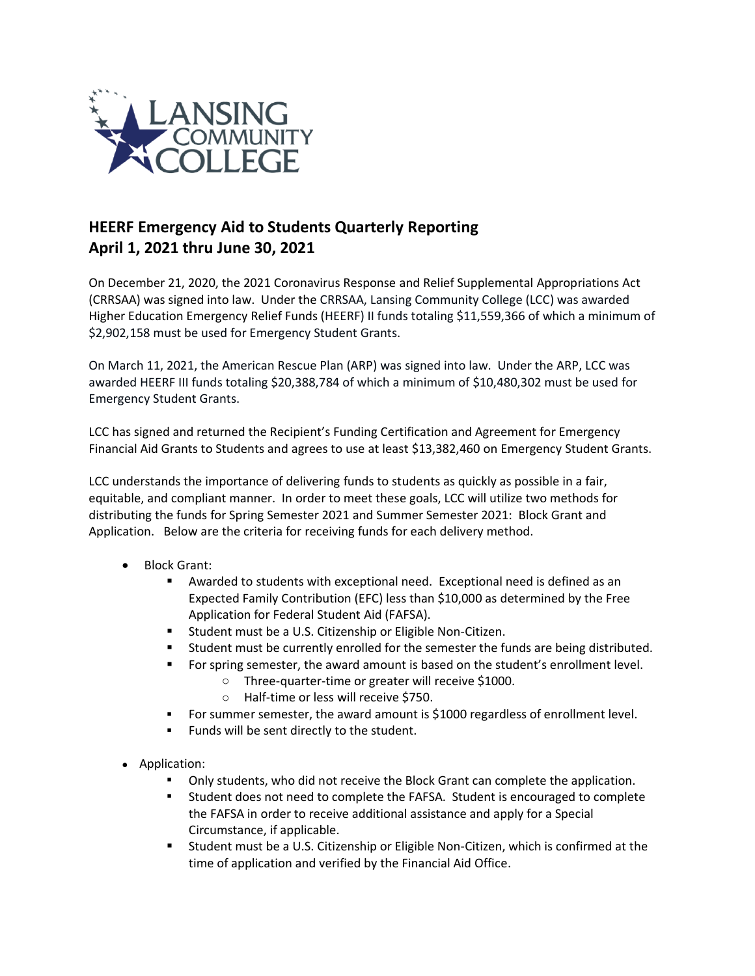

## **HEERF Emergency Aid to Students Quarterly Reporting April 1, 2021 thru June 30, 2021**

On December 21, 2020, the 2021 Coronavirus Response and Relief Supplemental Appropriations Act (CRRSAA) was signed into law. Under the CRRSAA, Lansing Community College (LCC) was awarded Higher Education Emergency Relief Funds (HEERF) II funds totaling \$11,559,366 of which a minimum of \$2,902,158 must be used for Emergency Student Grants.

On March 11, 2021, the American Rescue Plan (ARP) was signed into law. Under the ARP, LCC was awarded HEERF III funds totaling \$20,388,784 of which a minimum of \$10,480,302 must be used for Emergency Student Grants.

LCC has signed and returned the Recipient's Funding Certification and Agreement for Emergency Financial Aid Grants to Students and agrees to use at least \$13,382,460 on Emergency Student Grants.

LCC understands the importance of delivering funds to students as quickly as possible in a fair, equitable, and compliant manner. In order to meet these goals, LCC will utilize two methods for distributing the funds for Spring Semester 2021 and Summer Semester 2021: Block Grant and Application. Below are the criteria for receiving funds for each delivery method.

- Block Grant:
	- Awarded to students with exceptional need. Exceptional need is defined as an Expected Family Contribution (EFC) less than \$10,000 as determined by the Free Application for Federal Student Aid (FAFSA).
	- Student must be a U.S. Citizenship or Eligible Non-Citizen.
	- Student must be currently enrolled for the semester the funds are being distributed.
	- For spring semester, the award amount is based on the student's enrollment level.
		- o Three-quarter-time or greater will receive \$1000.
		- o Half-time or less will receive \$750.
	- For summer semester, the award amount is \$1000 regardless of enrollment level.
	- Funds will be sent directly to the student.
- Application:
	- Only students, who did not receive the Block Grant can complete the application.
	- Student does not need to complete the FAFSA. Student is encouraged to complete the FAFSA in order to receive additional assistance and apply for a Special Circumstance, if applicable.
	- Student must be a U.S. Citizenship or Eligible Non-Citizen, which is confirmed at the time of application and verified by the Financial Aid Office.